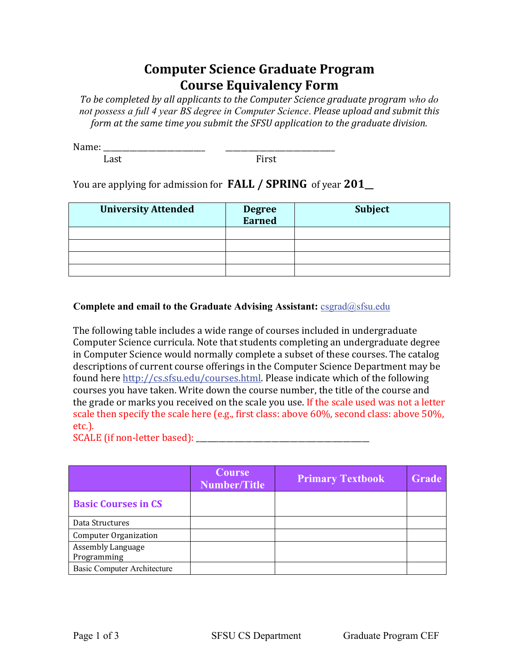## **Computer Science Graduate Program Course Equivalency Form**

To be completed by all applicants to the Computer Science graduate program who do not possess a full 4 year BS degree in Computer Science. Please upload and submit this *form at the same time you submit the SFSU application to the graduate division.* 

 $Name:$ 

Last First

## You are applying for admission for **FALL / SPRING** of year **201\_**

| <b>University Attended</b> | <b>Degree</b><br><b>Earned</b> | Subject |
|----------------------------|--------------------------------|---------|
|                            |                                |         |
|                            |                                |         |
|                            |                                |         |
|                            |                                |         |

## **Complete and email to the Graduate Advising Assistant:** csgrad@sfsu.edu

The following table includes a wide range of courses included in undergraduate Computer Science curricula. Note that students completing an undergraduate degree in Computer Science would normally complete a subset of these courses. The catalog descriptions of current course offerings in the Computer Science Department may be found here http://cs.sfsu.edu/courses.html. Please indicate which of the following courses you have taken. Write down the course number, the title of the course and the grade or marks you received on the scale you use. If the scale used was not a letter scale then specify the scale here (e.g., first class: above  $60\%$ , second class: above  $50\%$ , etc.). 

SCALE (if non-letter based): \_\_\_\_\_\_\_\_\_\_\_\_\_\_\_\_\_\_\_\_\_\_\_\_\_\_\_\_\_\_\_\_\_\_\_\_\_\_\_\_\_\_\_\_\_\_

|                                         | <b>Course</b><br><b>Number/Title</b> | <b>Primary Textbook</b> | Grade |
|-----------------------------------------|--------------------------------------|-------------------------|-------|
| <b>Basic Courses in CS</b>              |                                      |                         |       |
| Data Structures                         |                                      |                         |       |
| <b>Computer Organization</b>            |                                      |                         |       |
| <b>Assembly Language</b><br>Programming |                                      |                         |       |
| <b>Basic Computer Architecture</b>      |                                      |                         |       |